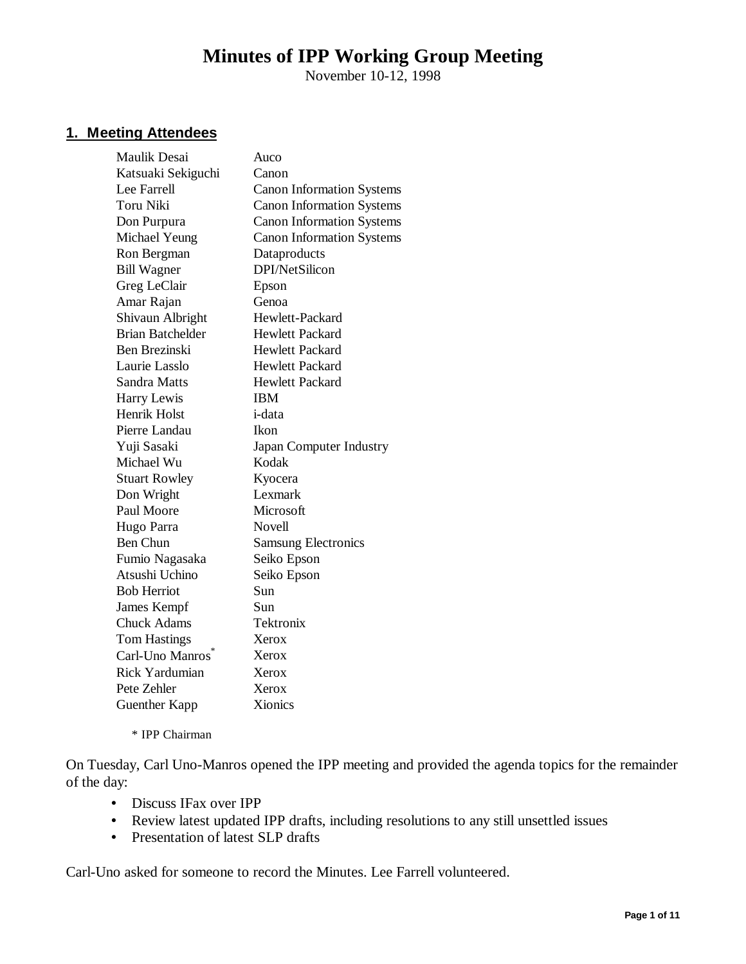# **Minutes of IPP Working Group Meeting**

November 10-12, 1998

## **1. Meeting Attendees**

| <b>Maulik Desai</b>     | Auco                             |
|-------------------------|----------------------------------|
| Katsuaki Sekiguchi      | Canon                            |
| Lee Farrell             | <b>Canon Information Systems</b> |
| Toru Niki               | <b>Canon Information Systems</b> |
| Don Purpura             | <b>Canon Information Systems</b> |
| Michael Yeung           | <b>Canon Information Systems</b> |
| Ron Bergman             | Dataproducts                     |
| <b>Bill Wagner</b>      | DPI/NetSilicon                   |
| Greg LeClair            | Epson                            |
| Amar Rajan              | Genoa                            |
| Shivaun Albright        | Hewlett-Packard                  |
| <b>Brian Batchelder</b> | <b>Hewlett Packard</b>           |
| Ben Brezinski           | <b>Hewlett Packard</b>           |
| Laurie Lasslo           | <b>Hewlett Packard</b>           |
| Sandra Matts            | <b>Hewlett Packard</b>           |
| Harry Lewis             | <b>IBM</b>                       |
| <b>Henrik Holst</b>     | <i>i</i> -data                   |
| Pierre Landau           | Ikon                             |
| Yuji Sasaki             | Japan Computer Industry          |
| Michael Wu              | Kodak                            |
| <b>Stuart Rowley</b>    | Kyocera                          |
| Don Wright              | Lexmark                          |
| Paul Moore              | Microsoft                        |
| Hugo Parra              | <b>Novell</b>                    |
| <b>Ben Chun</b>         | <b>Samsung Electronics</b>       |
| Fumio Nagasaka          | Seiko Epson                      |
| Atsushi Uchino          | Seiko Epson                      |
| <b>Bob Herriot</b>      | Sun                              |
| James Kempf             | Sun                              |
| <b>Chuck Adams</b>      | Tektronix                        |
| <b>Tom Hastings</b>     | Xerox                            |
| Carl-Uno Manros         | Xerox                            |
| <b>Rick Yardumian</b>   | Xerox                            |
| Pete Zehler             | Xerox                            |
| <b>Guenther Kapp</b>    | Xionics                          |
|                         |                                  |

\* IPP Chairman

On Tuesday, Carl Uno-Manros opened the IPP meeting and provided the agenda topics for the remainder of the day:

- Discuss IFax over IPP
- Review latest updated IPP drafts, including resolutions to any still unsettled issues
- Presentation of latest SLP drafts

Carl-Uno asked for someone to record the Minutes. Lee Farrell volunteered.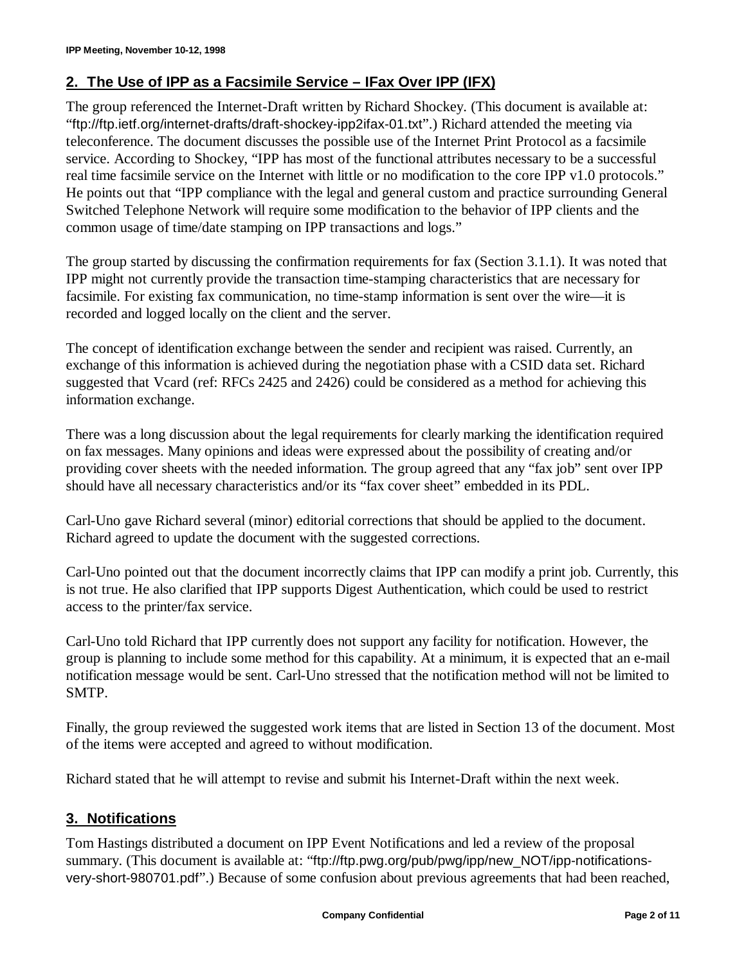## **2. The Use of IPP as a Facsimile Service – IFax Over IPP (IFX)**

The group referenced the Internet-Draft written by Richard Shockey. (This document is available at: "ftp://ftp.ietf.org/internet-drafts/draft-shockey-ipp2ifax-01.txt".) Richard attended the meeting via teleconference. The document discusses the possible use of the Internet Print Protocol as a facsimile service. According to Shockey, "IPP has most of the functional attributes necessary to be a successful real time facsimile service on the Internet with little or no modification to the core IPP v1.0 protocols." He points out that "IPP compliance with the legal and general custom and practice surrounding General Switched Telephone Network will require some modification to the behavior of IPP clients and the common usage of time/date stamping on IPP transactions and logs."

The group started by discussing the confirmation requirements for fax (Section 3.1.1). It was noted that IPP might not currently provide the transaction time-stamping characteristics that are necessary for facsimile. For existing fax communication, no time-stamp information is sent over the wire—it is recorded and logged locally on the client and the server.

The concept of identification exchange between the sender and recipient was raised. Currently, an exchange of this information is achieved during the negotiation phase with a CSID data set. Richard suggested that Vcard (ref: RFCs 2425 and 2426) could be considered as a method for achieving this information exchange.

There was a long discussion about the legal requirements for clearly marking the identification required on fax messages. Many opinions and ideas were expressed about the possibility of creating and/or providing cover sheets with the needed information. The group agreed that any "fax job" sent over IPP should have all necessary characteristics and/or its "fax cover sheet" embedded in its PDL.

Carl-Uno gave Richard several (minor) editorial corrections that should be applied to the document. Richard agreed to update the document with the suggested corrections.

Carl-Uno pointed out that the document incorrectly claims that IPP can modify a print job. Currently, this is not true. He also clarified that IPP supports Digest Authentication, which could be used to restrict access to the printer/fax service.

Carl-Uno told Richard that IPP currently does not support any facility for notification. However, the group is planning to include some method for this capability. At a minimum, it is expected that an e-mail notification message would be sent. Carl-Uno stressed that the notification method will not be limited to SMTP.

Finally, the group reviewed the suggested work items that are listed in Section 13 of the document. Most of the items were accepted and agreed to without modification.

Richard stated that he will attempt to revise and submit his Internet-Draft within the next week.

## **3. Notifications**

Tom Hastings distributed a document on IPP Event Notifications and led a review of the proposal summary. (This document is available at: "ftp://ftp.pwg.org/pub/pwg/ipp/new\_NOT/ipp-notificationsvery-short-980701.pdf".) Because of some confusion about previous agreements that had been reached,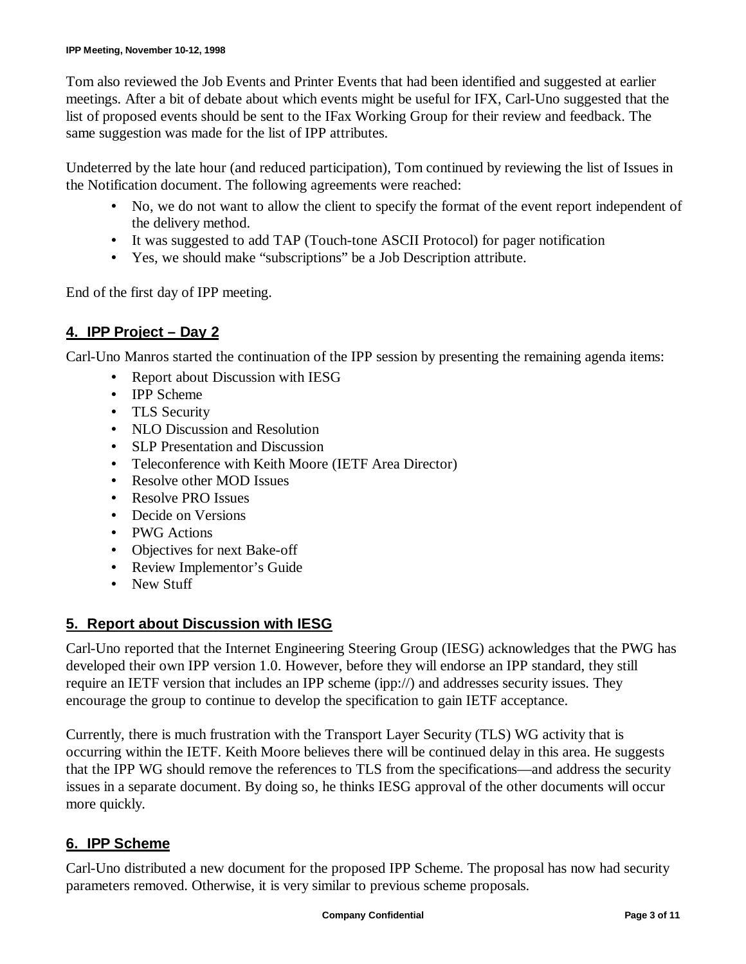Tom also reviewed the Job Events and Printer Events that had been identified and suggested at earlier meetings. After a bit of debate about which events might be useful for IFX, Carl-Uno suggested that the list of proposed events should be sent to the IFax Working Group for their review and feedback. The same suggestion was made for the list of IPP attributes.

Undeterred by the late hour (and reduced participation), Tom continued by reviewing the list of Issues in the Notification document. The following agreements were reached:

- No, we do not want to allow the client to specify the format of the event report independent of the delivery method.
- It was suggested to add TAP (Touch-tone ASCII Protocol) for pager notification
- Yes, we should make "subscriptions" be a Job Description attribute.

End of the first day of IPP meeting.

## **4. IPP Project – Day 2**

Carl-Uno Manros started the continuation of the IPP session by presenting the remaining agenda items:

- Report about Discussion with IESG
- IPP Scheme
- TLS Security
- NLO Discussion and Resolution
- SLP Presentation and Discussion
- Teleconference with Keith Moore (IETF Area Director)
- Resolve other MOD Issues
- Resolve PRO Issues
- Decide on Versions
- PWG Actions
- Objectives for next Bake-off
- Review Implementor's Guide
- New Stuff

## **5. Report about Discussion with IESG**

Carl-Uno reported that the Internet Engineering Steering Group (IESG) acknowledges that the PWG has developed their own IPP version 1.0. However, before they will endorse an IPP standard, they still require an IETF version that includes an IPP scheme (ipp://) and addresses security issues. They encourage the group to continue to develop the specification to gain IETF acceptance.

Currently, there is much frustration with the Transport Layer Security (TLS) WG activity that is occurring within the IETF. Keith Moore believes there will be continued delay in this area. He suggests that the IPP WG should remove the references to TLS from the specifications— and address the security issues in a separate document. By doing so, he thinks IESG approval of the other documents will occur more quickly.

## **6. IPP Scheme**

Carl-Uno distributed a new document for the proposed IPP Scheme. The proposal has now had security parameters removed. Otherwise, it is very similar to previous scheme proposals.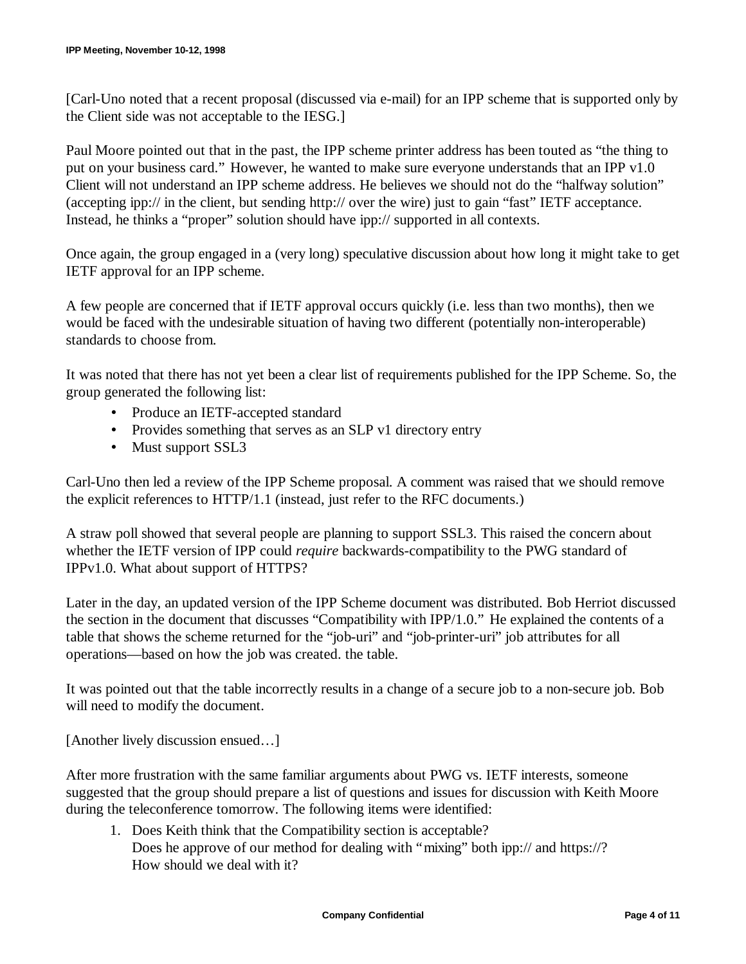[Carl-Uno noted that a recent proposal (discussed via e-mail) for an IPP scheme that is supported only by the Client side was not acceptable to the IESG.]

Paul Moore pointed out that in the past, the IPP scheme printer address has been touted as "the thing to put on your business card." However, he wanted to make sure everyone understands that an IPP v1.0 Client will not understand an IPP scheme address. He believes we should not do the "halfway solution" (accepting ipp:// in the client, but sending http:// over the wire) just to gain "fast" IETF acceptance. Instead, he thinks a "proper" solution should have ipp:// supported in all contexts.

Once again, the group engaged in a (very long) speculative discussion about how long it might take to get IETF approval for an IPP scheme.

A few people are concerned that if IETF approval occurs quickly (i.e. less than two months), then we would be faced with the undesirable situation of having two different (potentially non-interoperable) standards to choose from.

It was noted that there has not yet been a clear list of requirements published for the IPP Scheme. So, the group generated the following list:

- Produce an IETF-accepted standard
- Provides something that serves as an SLP v1 directory entry
- Must support SSL3

Carl-Uno then led a review of the IPP Scheme proposal. A comment was raised that we should remove the explicit references to HTTP/1.1 (instead, just refer to the RFC documents.)

A straw poll showed that several people are planning to support SSL3. This raised the concern about whether the IETF version of IPP could *require* backwards-compatibility to the PWG standard of IPPv1.0. What about support of HTTPS?

Later in the day, an updated version of the IPP Scheme document was distributed. Bob Herriot discussed the section in the document that discusses "Compatibility with IPP/1.0." He explained the contents of a table that shows the scheme returned for the "job-uri" and "job-printer-uri" job attributes for all operations— based on how the job was created. the table.

It was pointed out that the table incorrectly results in a change of a secure job to a non-secure job. Bob will need to modify the document.

[Another lively discussion ensued...]

After more frustration with the same familiar arguments about PWG vs. IETF interests, someone suggested that the group should prepare a list of questions and issues for discussion with Keith Moore during the teleconference tomorrow. The following items were identified:

1. Does Keith think that the Compatibility section is acceptable? Does he approve of our method for dealing with "mixing" both ipp:// and https://? How should we deal with it?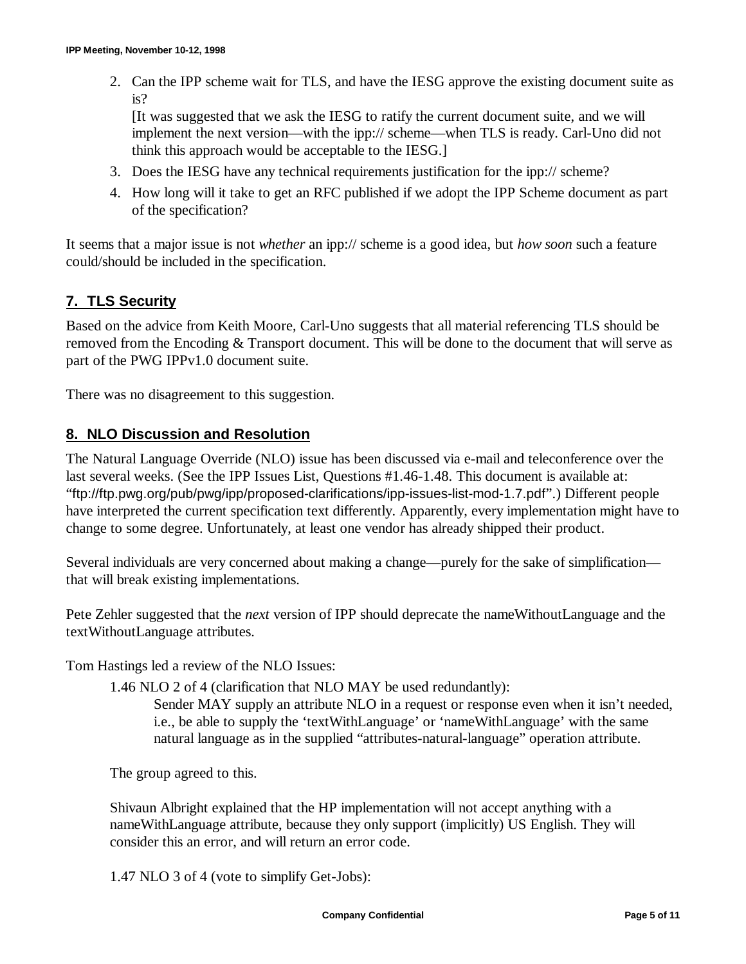2. Can the IPP scheme wait for TLS, and have the IESG approve the existing document suite as is?

[It was suggested that we ask the IESG to ratify the current document suite, and we will implement the next version— with the ipp:// scheme— when TLS is ready. Carl-Uno did not think this approach would be acceptable to the IESG.]

- 3. Does the IESG have any technical requirements justification for the ipp:// scheme?
- 4. How long will it take to get an RFC published if we adopt the IPP Scheme document as part of the specification?

It seems that a major issue is not *whether* an ipp:// scheme is a good idea, but *how soon* such a feature could/should be included in the specification.

# **7. TLS Security**

Based on the advice from Keith Moore, Carl-Uno suggests that all material referencing TLS should be removed from the Encoding & Transport document. This will be done to the document that will serve as part of the PWG IPPv1.0 document suite.

There was no disagreement to this suggestion.

## **8. NLO Discussion and Resolution**

The Natural Language Override (NLO) issue has been discussed via e-mail and teleconference over the last several weeks. (See the IPP Issues List, Questions #1.46-1.48. This document is available at: "ftp://ftp.pwg.org/pub/pwg/ipp/proposed-clarifications/ipp-issues-list-mod-1.7.pdf".) Different people have interpreted the current specification text differently. Apparently, every implementation might have to change to some degree. Unfortunately, at least one vendor has already shipped their product.

Several individuals are very concerned about making a change— purely for the sake of simplification that will break existing implementations.

Pete Zehler suggested that the *next* version of IPP should deprecate the nameWithoutLanguage and the textWithoutLanguage attributes.

Tom Hastings led a review of the NLO Issues:

1.46 NLO 2 of 4 (clarification that NLO MAY be used redundantly):

Sender MAY supply an attribute NLO in a request or response even when it isn't needed, i.e., be able to supply the 'textWithLanguage' or 'nameWithLanguage' with the same natural language as in the supplied "attributes-natural-language" operation attribute.

The group agreed to this.

Shivaun Albright explained that the HP implementation will not accept anything with a nameWithLanguage attribute, because they only support (implicitly) US English. They will consider this an error, and will return an error code.

1.47 NLO 3 of 4 (vote to simplify Get-Jobs):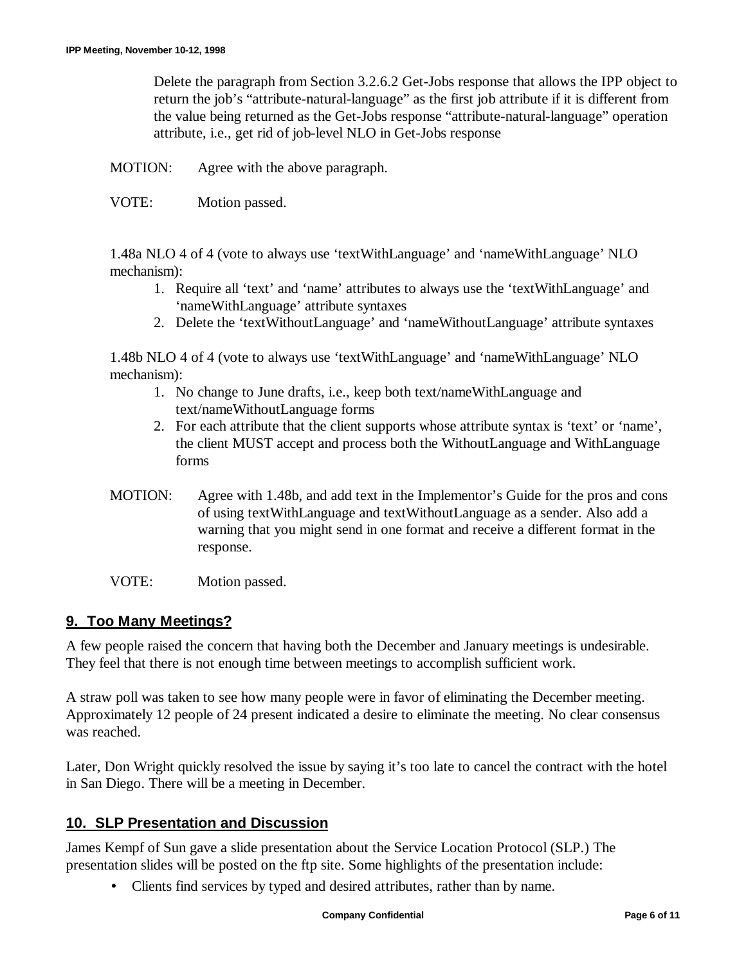Delete the paragraph from Section 3.2.6.2 Get-Jobs response that allows the IPP object to return the job's "attribute-natural-language" as the first job attribute if it is different from the value being returned as the Get-Jobs response "attribute-natural-language" operation attribute, i.e., get rid of job-level NLO in Get-Jobs response

MOTION: Agree with the above paragraph.

VOTE: Motion passed.

1.48a NLO 4 of 4 (vote to always use 'textWithLanguage' and 'nameWithLanguage' NLO mechanism):

- 1. Require all 'text' and 'name' attributes to always use the 'textWithLanguage' and 'nameWithLanguage' attribute syntaxes
- 2. Delete the 'textWithoutLanguage' and 'nameWithoutLanguage' attribute syntaxes

1.48b NLO 4 of 4 (vote to always use 'textWithLanguage' and 'nameWithLanguage' NLO mechanism):

- 1. No change to June drafts, i.e., keep both text/nameWithLanguage and text/nameWithoutLanguage forms
- 2. For each attribute that the client supports whose attribute syntax is 'text' or 'name', the client MUST accept and process both the WithoutLanguage and WithLanguage forms
- MOTION: Agree with 1.48b, and add text in the Implementor's Guide for the pros and cons of using textWithLanguage and textWithoutLanguage as a sender. Also add a warning that you might send in one format and receive a different format in the response.
- VOTE: Motion passed.

#### **9. Too Many Meetings?**

A few people raised the concern that having both the December and January meetings is undesirable. They feel that there is not enough time between meetings to accomplish sufficient work.

A straw poll was taken to see how many people were in favor of eliminating the December meeting. Approximately 12 people of 24 present indicated a desire to eliminate the meeting. No clear consensus was reached.

Later, Don Wright quickly resolved the issue by saying it's too late to cancel the contract with the hotel in San Diego. There will be a meeting in December.

## **10. SLP Presentation and Discussion**

James Kempf of Sun gave a slide presentation about the Service Location Protocol (SLP.) The presentation slides will be posted on the ftp site. Some highlights of the presentation include:

• Clients find services by typed and desired attributes, rather than by name.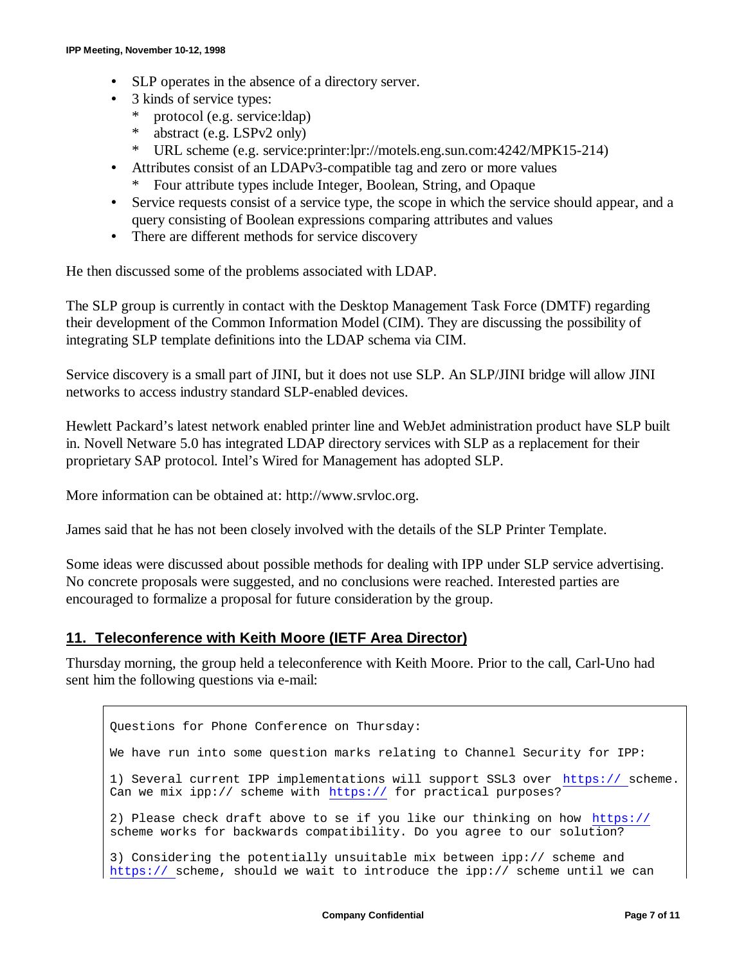- SLP operates in the absence of a directory server.
- 3 kinds of service types:
	- \* protocol (e.g. service:ldap)
	- \* abstract (e.g. LSPv2 only)
	- \* URL scheme (e.g. service:printer:lpr://motels.eng.sun.com:4242/MPK15-214)
- Attributes consist of an LDAPv3-compatible tag and zero or more values
	- \* Four attribute types include Integer, Boolean, String, and Opaque
- Service requests consist of a service type, the scope in which the service should appear, and a query consisting of Boolean expressions comparing attributes and values
- There are different methods for service discovery

He then discussed some of the problems associated with LDAP.

The SLP group is currently in contact with the Desktop Management Task Force (DMTF) regarding their development of the Common Information Model (CIM). They are discussing the possibility of integrating SLP template definitions into the LDAP schema via CIM.

Service discovery is a small part of JINI, but it does not use SLP. An SLP/JINI bridge will allow JINI networks to access industry standard SLP-enabled devices.

Hewlett Packard's latest network enabled printer line and WebJet administration product have SLP built in. Novell Netware 5.0 has integrated LDAP directory services with SLP as a replacement for their proprietary SAP protocol. Intel's Wired for Management has adopted SLP.

More information can be obtained at: http://www.srvloc.org.

James said that he has not been closely involved with the details of the SLP Printer Template.

Some ideas were discussed about possible methods for dealing with IPP under SLP service advertising. No concrete proposals were suggested, and no conclusions were reached. Interested parties are encouraged to formalize a proposal for future consideration by the group.

#### **11. Teleconference with Keith Moore (IETF Area Director)**

Thursday morning, the group held a teleconference with Keith Moore. Prior to the call, Carl-Uno had sent him the following questions via e-mail:

Questions for Phone Conference on Thursday: We have run into some question marks relating to Channel Security for IPP: 1) Several current IPP implementations will support SSL3 over https:// scheme. Can we mix ipp:// scheme with https:// for practical purposes? 2) Please check draft above to se if you like our thinking on how https:// scheme works for backwards compatibility. Do you agree to our solution? 3) Considering the potentially unsuitable mix between ipp:// scheme and https:// scheme, should we wait to introduce the ipp:// scheme until we can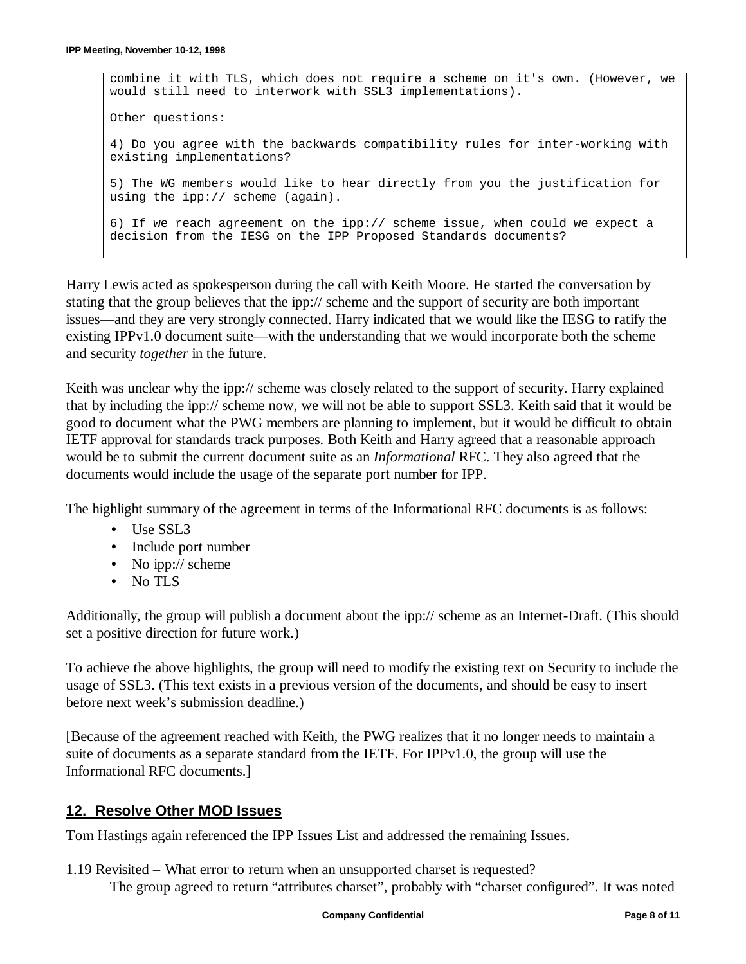combine it with TLS, which does not require a scheme on it's own. (However, we would still need to interwork with SSL3 implementations). Other questions: 4) Do you agree with the backwards compatibility rules for inter-working with existing implementations? 5) The WG members would like to hear directly from you the justification for using the ipp:// scheme (again). 6) If we reach agreement on the ipp:// scheme issue, when could we expect a decision from the IESG on the IPP Proposed Standards documents?

Harry Lewis acted as spokesperson during the call with Keith Moore. He started the conversation by stating that the group believes that the ipp:// scheme and the support of security are both important issues— and they are very strongly connected. Harry indicated that we would like the IESG to ratify the existing IPPv1.0 document suite—with the understanding that we would incorporate both the scheme and security *together* in the future.

Keith was unclear why the ipp:// scheme was closely related to the support of security. Harry explained that by including the ipp:// scheme now, we will not be able to support SSL3. Keith said that it would be good to document what the PWG members are planning to implement, but it would be difficult to obtain IETF approval for standards track purposes. Both Keith and Harry agreed that a reasonable approach would be to submit the current document suite as an *Informational* RFC. They also agreed that the documents would include the usage of the separate port number for IPP.

The highlight summary of the agreement in terms of the Informational RFC documents is as follows:

- Use SSL3
- Include port number
- No ipp:// scheme
- No TLS

Additionally, the group will publish a document about the ipp:// scheme as an Internet-Draft. (This should set a positive direction for future work.)

To achieve the above highlights, the group will need to modify the existing text on Security to include the usage of SSL3. (This text exists in a previous version of the documents, and should be easy to insert before next week's submission deadline.)

[Because of the agreement reached with Keith, the PWG realizes that it no longer needs to maintain a suite of documents as a separate standard from the IETF. For IPPv1.0, the group will use the Informational RFC documents.]

#### **12. Resolve Other MOD Issues**

Tom Hastings again referenced the IPP Issues List and addressed the remaining Issues.

1.19 Revisited – What error to return when an unsupported charset is requested? The group agreed to return "attributes charset", probably with "charset configured". It was noted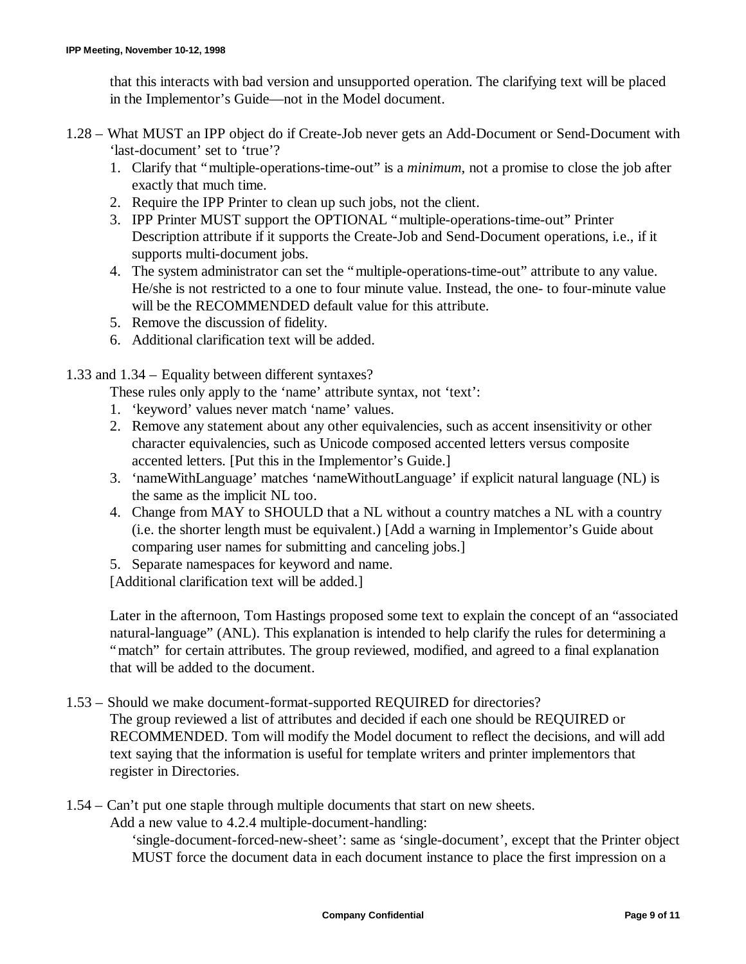that this interacts with bad version and unsupported operation. The clarifying text will be placed in the Implementor's Guide— not in the Model document.

- 1.28 What MUST an IPP object do if Create-Job never gets an Add-Document or Send-Document with 'last-document' set to 'true'?
	- 1. Clarify that "multiple-operations-time-out" is a *minimum*, not a promise to close the job after exactly that much time.
	- 2. Require the IPP Printer to clean up such jobs, not the client.
	- 3. IPP Printer MUST support the OPTIONAL "multiple-operations-time-out" Printer Description attribute if it supports the Create-Job and Send-Document operations, i.e., if it supports multi-document jobs.
	- 4. The system administrator can set the "multiple-operations-time-out" attribute to any value. He/she is not restricted to a one to four minute value. Instead, the one- to four-minute value will be the RECOMMENDED default value for this attribute.
	- 5. Remove the discussion of fidelity.
	- 6. Additional clarification text will be added.

1.33 and 1.34 – Equality between different syntaxes?

These rules only apply to the 'name' attribute syntax, not 'text':

- 1. 'keyword' values never match 'name' values.
- 2. Remove any statement about any other equivalencies, such as accent insensitivity or other character equivalencies, such as Unicode composed accented letters versus composite accented letters. [Put this in the Implementor's Guide.]
- 3. 'nameWithLanguage' matches 'nameWithoutLanguage' if explicit natural language (NL) is the same as the implicit NL too.
- 4. Change from MAY to SHOULD that a NL without a country matches a NL with a country (i.e. the shorter length must be equivalent.) [Add a warning in Implementor's Guide about comparing user names for submitting and canceling jobs.]
- 5. Separate namespaces for keyword and name.

[Additional clarification text will be added.]

Later in the afternoon, Tom Hastings proposed some text to explain the concept of an "associated natural-language" (ANL). This explanation is intended to help clarify the rules for determining a "match" for certain attributes. The group reviewed, modified, and agreed to a final explanation that will be added to the document.

1.53 – Should we make document-format-supported REQUIRED for directories?

The group reviewed a list of attributes and decided if each one should be REQUIRED or RECOMMENDED. Tom will modify the Model document to reflect the decisions, and will add text saying that the information is useful for template writers and printer implementors that register in Directories.

1.54 – Can't put one staple through multiple documents that start on new sheets.

Add a new value to 4.2.4 multiple-document-handling:

'single-document-forced-new-sheet': same as 'single-document', except that the Printer object MUST force the document data in each document instance to place the first impression on a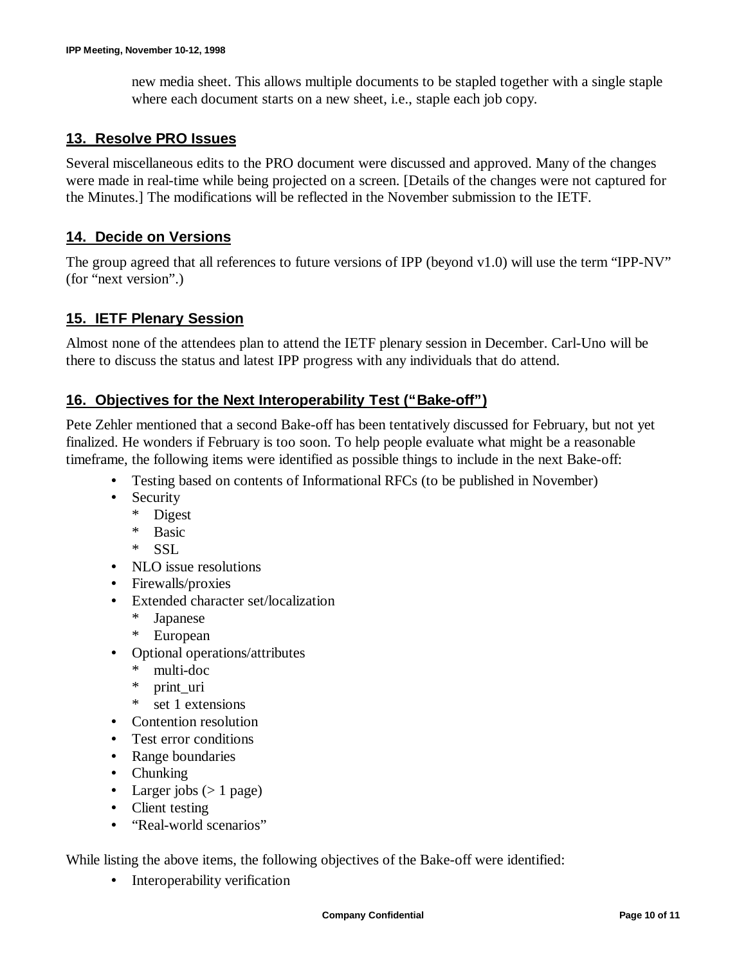new media sheet. This allows multiple documents to be stapled together with a single staple where each document starts on a new sheet, i.e., staple each job copy.

#### **13. Resolve PRO Issues**

Several miscellaneous edits to the PRO document were discussed and approved. Many of the changes were made in real-time while being projected on a screen. [Details of the changes were not captured for the Minutes.] The modifications will be reflected in the November submission to the IETF.

## **14. Decide on Versions**

The group agreed that all references to future versions of IPP (beyond v1.0) will use the term "IPP-NV" (for "next version".)

#### **15. IETF Plenary Session**

Almost none of the attendees plan to attend the IETF plenary session in December. Carl-Uno will be there to discuss the status and latest IPP progress with any individuals that do attend.

## **16. Objectives for the Next Interoperability Test ("Bake-off")**

Pete Zehler mentioned that a second Bake-off has been tentatively discussed for February, but not yet finalized. He wonders if February is too soon. To help people evaluate what might be a reasonable timeframe, the following items were identified as possible things to include in the next Bake-off:

- Testing based on contents of Informational RFCs (to be published in November)
- Security
	- \* Digest
	- \* Basic
	- \* SSL
- NLO issue resolutions
- Firewalls/proxies
- Extended character set/localization
	- **Japanese**
	- \* European
- Optional operations/attributes
	- \* multi-doc
	- \* print\_uri
	- \* set 1 extensions
- Contention resolution
- Test error conditions
- Range boundaries
- Chunking
- Larger jobs  $(> 1$  page)
- Client testing
- "Real-world scenarios"

While listing the above items, the following objectives of the Bake-off were identified:

• Interoperability verification